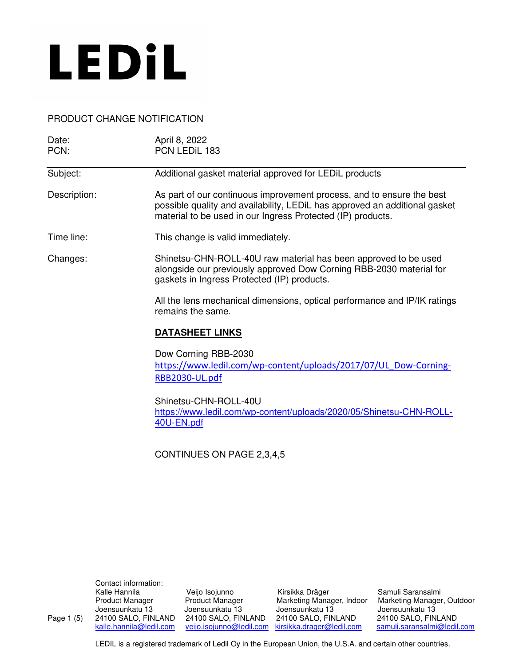

### PRODUCT CHANGE NOTIFICATION

| Date:<br>PCN: | April 8, 2022<br>PCN LEDIL 183                                                                                                                                                                                     |  |  |
|---------------|--------------------------------------------------------------------------------------------------------------------------------------------------------------------------------------------------------------------|--|--|
| Subject:      | Additional gasket material approved for LEDiL products                                                                                                                                                             |  |  |
| Description:  | As part of our continuous improvement process, and to ensure the best<br>possible quality and availability, LEDiL has approved an additional gasket<br>material to be used in our Ingress Protected (IP) products. |  |  |
| Time line:    | This change is valid immediately.                                                                                                                                                                                  |  |  |
| Changes:      | Shinetsu-CHN-ROLL-40U raw material has been approved to be used<br>alongside our previously approved Dow Corning RBB-2030 material for<br>gaskets in Ingress Protected (IP) products.                              |  |  |
|               | All the lens mechanical dimensions, optical performance and IP/IK ratings<br>remains the same.                                                                                                                     |  |  |
|               | <b>DATASHEET LINKS</b>                                                                                                                                                                                             |  |  |
|               | Dow Corning RBB-2030<br>https://www.ledil.com/wp-content/uploads/2017/07/UL Dow-Corning-<br>RBB2030-UL.pdf                                                                                                         |  |  |
|               | Shinetsu-CHN-ROLL-40U<br>https://www.ledil.com/wp-content/uploads/2020/05/Shinetsu-CHN-ROLL-<br>40U-EN.pdf                                                                                                         |  |  |
|               | CONTINUES ON PAGE 2,3,4,5                                                                                                                                                                                          |  |  |

Contact information:<br>Kalle Hannila

Veijo Isojunno Kirsikka Dräger Samuli Saransalmi<br>Product Manager Marketing Manager, Indoor Marketing Manager Joensuunkatu 13 Joensuunkatu 13 Joensuunkatu 13 Joensuunkatu 13 24100 SALO, FINLAND 24100 SALO, FINLAND 24100 SALO, FINLAND kalle.hannila@ledil.com veijo.isojunno@ledil.com kirsikka.drager@ledil.com

Product Manager Product Manager Marketing Manager, Indoor Marketing Manager, Outdoor samuli.saransalmi@ledil.com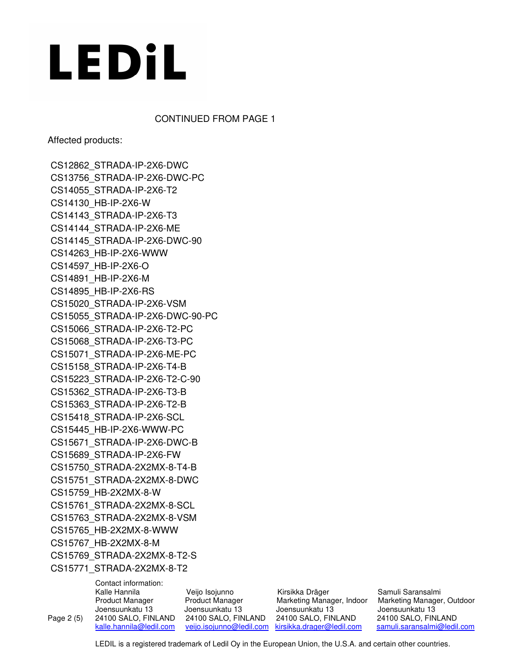CONTINUED FROM PAGE 1

Affected products:

CS12862\_STRADA-IP-2X6-DWC CS13756\_STRADA-IP-2X6-DWC-PC CS14055\_STRADA-IP-2X6-T2 CS14130\_HB-IP-2X6-W CS14143\_STRADA-IP-2X6-T3 CS14144\_STRADA-IP-2X6-ME CS14145\_STRADA-IP-2X6-DWC-90 CS14263\_HB-IP-2X6-WWW CS14597\_HB-IP-2X6-O CS14891\_HB-IP-2X6-M CS14895\_HB-IP-2X6-RS CS15020\_STRADA-IP-2X6-VSM CS15055\_STRADA-IP-2X6-DWC-90-PC CS15066\_STRADA-IP-2X6-T2-PC CS15068\_STRADA-IP-2X6-T3-PC CS15071\_STRADA-IP-2X6-ME-PC CS15158\_STRADA-IP-2X6-T4-B CS15223\_STRADA-IP-2X6-T2-C-90 CS15362\_STRADA-IP-2X6-T3-B CS15363\_STRADA-IP-2X6-T2-B CS15418\_STRADA-IP-2X6-SCL CS15445\_HB-IP-2X6-WWW-PC CS15671\_STRADA-IP-2X6-DWC-B CS15689\_STRADA-IP-2X6-FW CS15750\_STRADA-2X2MX-8-T4-B CS15751\_STRADA-2X2MX-8-DWC CS15759\_HB-2X2MX-8-W CS15761\_STRADA-2X2MX-8-SCL CS15763\_STRADA-2X2MX-8-VSM CS15765\_HB-2X2MX-8-WWW CS15767\_HB-2X2MX-8-M CS15769\_STRADA-2X2MX-8-T2-S CS15771\_STRADA-2X2MX-8-T2

 Contact information: Veijo Isojunno Kirsikka Dräger Samuli Saransalmi Product Manager **Product Manager** Marketing Manager, Indoor Marketing Manager, Outdoor Joensuunkatu 13 Joensuunkatu 13 Joensuunkatu 13 Joensuunkatu 13 Page 2 (5) 24100 SALO, FINLAND 24100 SALO, FINLAND 24100 SALO, FINLAND 24100 SALO, FINLAND kalle.hannila@ledil.com veijo.isojunno@ledil.com kirsikka.drager@ledil.com samuli.saransalmi@ledil.com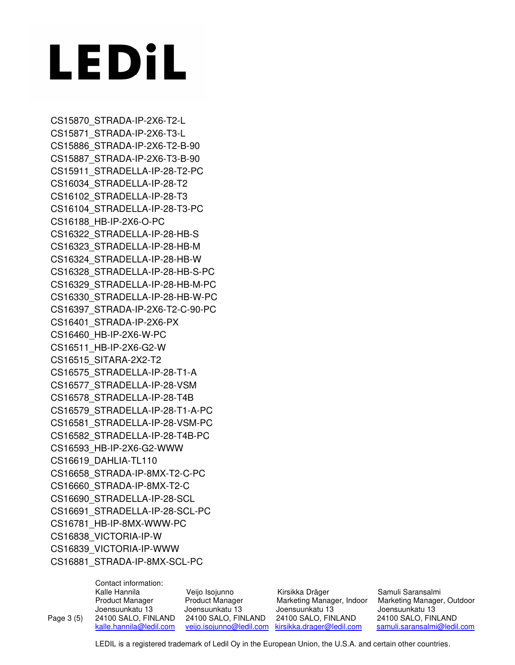CS15870\_STRADA-IP-2X6-T2-L CS15871\_STRADA-IP-2X6-T3-L CS15886\_STRADA-IP-2X6-T2-B-90 CS15887\_STRADA-IP-2X6-T3-B-90 CS15911\_STRADELLA-IP-28-T2-PC CS16034\_STRADELLA-IP-28-T2 CS16102\_STRADELLA-IP-28-T3 CS16104\_STRADELLA-IP-28-T3-PC CS16188\_HB-IP-2X6-O-PC CS16322\_STRADELLA-IP-28-HB-S CS16323\_STRADELLA-IP-28-HB-M CS16324\_STRADELLA-IP-28-HB-W CS16328\_STRADELLA-IP-28-HB-S-PC CS16329\_STRADELLA-IP-28-HB-M-PC CS16330\_STRADELLA-IP-28-HB-W-PC CS16397\_STRADA-IP-2X6-T2-C-90-PC CS16401\_STRADA-IP-2X6-PX CS16460\_HB-IP-2X6-W-PC CS16511\_HB-IP-2X6-G2-W CS16515\_SITARA-2X2-T2 CS16575\_STRADELLA-IP-28-T1-A CS16577\_STRADELLA-IP-28-VSM CS16578\_STRADELLA-IP-28-T4B CS16579\_STRADELLA-IP-28-T1-A-PC CS16581\_STRADELLA-IP-28-VSM-PC CS16582\_STRADELLA-IP-28-T4B-PC CS16593\_HB-IP-2X6-G2-WWW CS16619\_DAHLIA-TL110 CS16658\_STRADA-IP-8MX-T2-C-PC CS16660\_STRADA-IP-8MX-T2-C CS16690\_STRADELLA-IP-28-SCL CS16691\_STRADELLA-IP-28-SCL-PC CS16781\_HB-IP-8MX-WWW-PC CS16838\_VICTORIA-IP-W CS16839\_VICTORIA-IP-WWW CS16881\_STRADA-IP-8MX-SCL-PC

|            | Contact information:    |                          |                           |                             |  |
|------------|-------------------------|--------------------------|---------------------------|-----------------------------|--|
|            | Kalle Hannila           | Veijo Isojunno           | Kirsikka Dräger           | Samuli Saransalmi           |  |
|            | <b>Product Manager</b>  | <b>Product Manager</b>   | Marketing Manager, Indoor | Marketing Manager, Outdoor  |  |
|            | Joensuunkatu 13         | Joensuunkatu 13          | Joensuunkatu 13           | Joensuunkatu 13             |  |
| Page 3 (5) | 24100 SALO, FINLAND     | 24100 SALO, FINLAND      | 24100 SALO, FINLAND       | 24100 SALO, FINLAND         |  |
|            | kalle.hannila@ledil.com | veijo.isojunno@ledil.com | kirsikka.drager@ledil.com | samuli.saransalmi@ledil.com |  |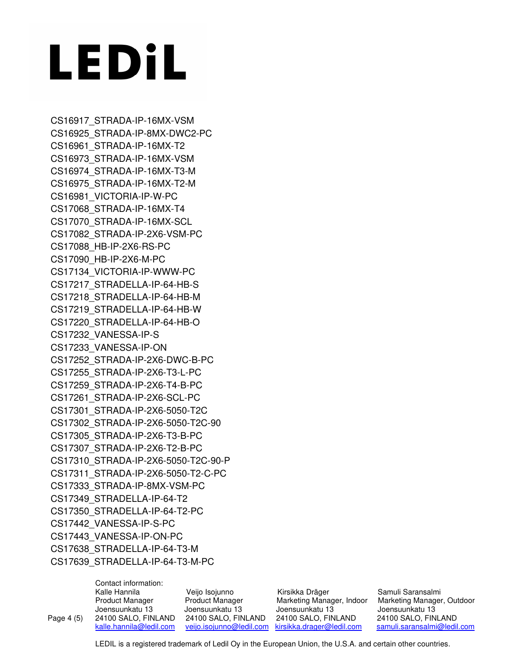CS16917\_STRADA-IP-16MX-VSM CS16925\_STRADA-IP-8MX-DWC2-PC CS16961\_STRADA-IP-16MX-T2 CS16973\_STRADA-IP-16MX-VSM CS16974\_STRADA-IP-16MX-T3-M CS16975\_STRADA-IP-16MX-T2-M CS16981\_VICTORIA-IP-W-PC CS17068\_STRADA-IP-16MX-T4 CS17070\_STRADA-IP-16MX-SCL CS17082\_STRADA-IP-2X6-VSM-PC CS17088\_HB-IP-2X6-RS-PC CS17090\_HB-IP-2X6-M-PC CS17134\_VICTORIA-IP-WWW-PC CS17217\_STRADELLA-IP-64-HB-S CS17218\_STRADELLA-IP-64-HB-M CS17219\_STRADELLA-IP-64-HB-W CS17220\_STRADELLA-IP-64-HB-O CS17232\_VANESSA-IP-S CS17233\_VANESSA-IP-ON CS17252\_STRADA-IP-2X6-DWC-B-PC CS17255\_STRADA-IP-2X6-T3-L-PC CS17259\_STRADA-IP-2X6-T4-B-PC CS17261\_STRADA-IP-2X6-SCL-PC CS17301\_STRADA-IP-2X6-5050-T2C CS17302\_STRADA-IP-2X6-5050-T2C-90 CS17305\_STRADA-IP-2X6-T3-B-PC CS17307\_STRADA-IP-2X6-T2-B-PC CS17310\_STRADA-IP-2X6-5050-T2C-90-P CS17311\_STRADA-IP-2X6-5050-T2-C-PC CS17333\_STRADA-IP-8MX-VSM-PC CS17349\_STRADELLA-IP-64-T2 CS17350\_STRADELLA-IP-64-T2-PC CS17442\_VANESSA-IP-S-PC CS17443\_VANESSA-IP-ON-PC CS17638\_STRADELLA-IP-64-T3-M CS17639\_STRADELLA-IP-64-T3-M-PC

 Contact information: Veijo Isojunno Kirsikka Dräger Samuli Saransalmi Product Manager **Product Manager** Marketing Manager, Indoor Marketing Manager, Outdoor Joensuunkatu 13 Joensuunkatu 13 Joensuunkatu 13 Joensuunkatu 13 Page 4 (5) 24100 SALO, FINLAND 24100 SALO, FINLAND 24100 SALO, FINLAND 24100 SALO, FINLAND kalle.hannila@ledil.com veijo.isojunno@ledil.com kirsikka.drager@ledil.com samuli.saransalmi@ledil.com